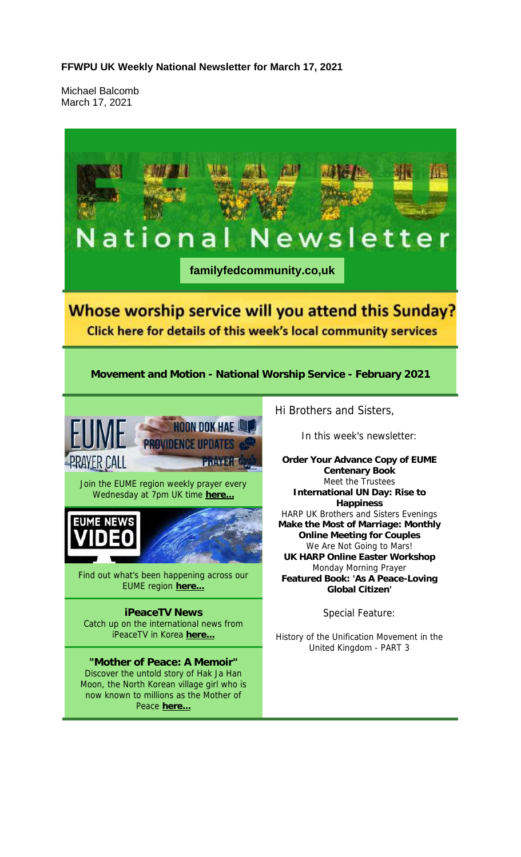Michael Balcomb March 17, 2021

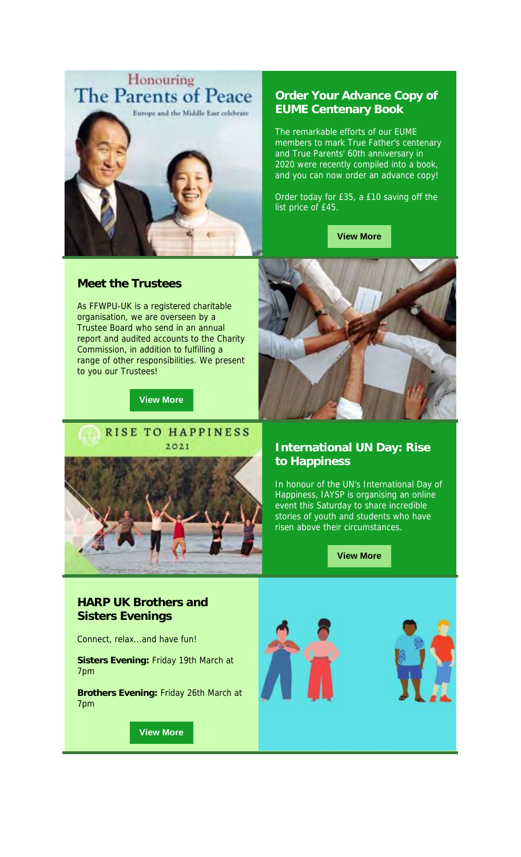

#### **Meet the Trustees**

As FFWPU-UK is a registered charitable organisation, we are overseen by a Trustee Board who send in an annual report and audited accounts to the Charity Commission, in addition to fulfilling a range of other responsibilities. We present to you our Trustees!

**View More**



## **Order Your Advance Copy of EUME Centenary Book**

The remarkable efforts of our EUME members to mark True Father's centenary and True Parents' 60th anniversary in 2020 were recently compiled into a book, and you can now order an advance copy!

Order today for £35, a £10 saving off the list price of £45.

**View More**



## **International UN Day: Rise to Happiness**

In honour of the UN's International Day of Happiness, IAYSP is organising an online event this Saturday to share incredible stories of youth and students who have risen above their circumstances.

**View More**

## **HARP UK Brothers and Sisters Evenings**

Connect, relax...and have fun!

**Sisters Evening:** Friday 19th March at 7pm

**Brothers Evening:** Friday 26th March at 7pm

**View More**



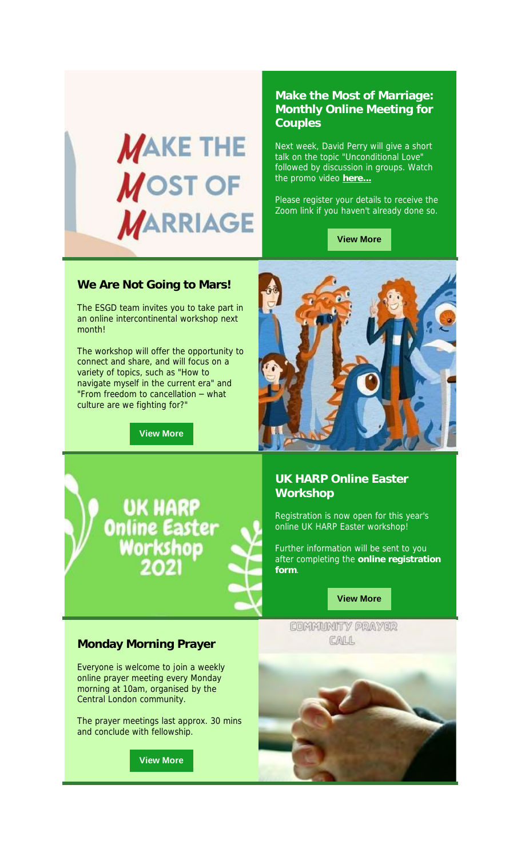

### **Make the Most of Marriage: Monthly Online Meeting for Couples**

Next week, David Perry will give a short talk on the topic "Unconditional Love" followed by discussion in groups. Watch the promo video **here...**

Please register your details to receive the Zoom link if you haven't already done so.

**View More**

#### **We Are Not Going to Mars!**

The ESGD team invites you to take part in an online intercontinental workshop next month!

The workshop will offer the opportunity to connect and share, and will focus on a variety of topics, such as "How to navigate myself in the current era" and "From freedom to cancellation – what culture are we fighting for?"

**View More**

UK HARP

Online Easter<br>Workshop



## **UK HARP Online Easter Workshop**

Registration is now open for this year's online UK HARP Easter workshop!

Further information will be sent to you after completing the **online registration form**.

#### **View More**

COMMUNITY PRAYER CALL

#### **Monday Morning Prayer**

Everyone is welcome to join a weekly online prayer meeting every Monday morning at 10am, organised by the Central London community.

The prayer meetings last approx. 30 mins and conclude with fellowship.

**View More**

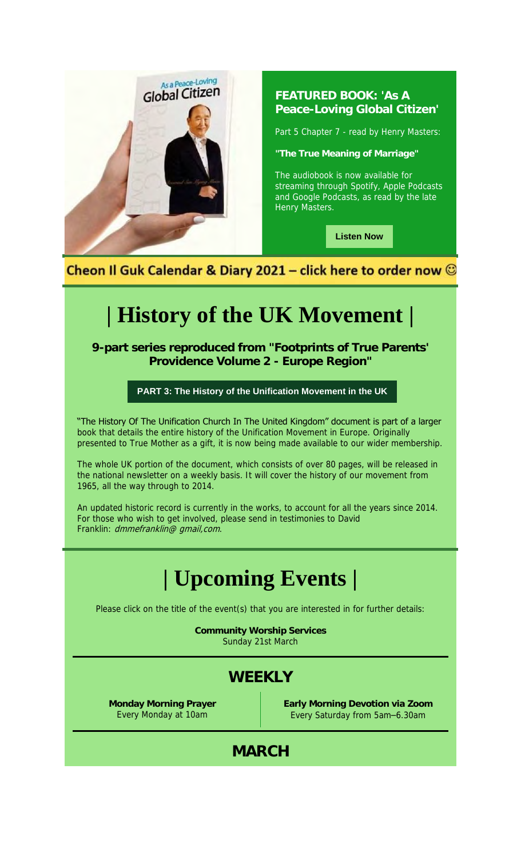

## **FEATURED BOOK: 'As A Peace-Loving Global Citizen'**

Part 5 Chapter 7 - read by Henry Masters:

**"The True Meaning of Marriage"**

The audiobook is now available for streaming through Spotify, Apple Podcasts and Google Podcasts, as read by the late Henry Masters.

**Listen Now**

Cheon Il Guk Calendar & Diary 2021 – click here to order now  $\mathbb G$ 

# **| History of the UK Movement |**

**9-part series reproduced from "Footprints of True Parents' Providence Volume 2 - Europe Region"**

## **PART 3: The History of the Unification Movement in the UK**

"The History Of The Unification Church In The United Kingdom" document is part of a larger book that details the entire history of the Unification Movement in Europe. Originally presented to True Mother as a gift, it is now being made available to our wider membership.

The whole UK portion of the document, which consists of over 80 pages, will be released in the national newsletter on a weekly basis. It will cover the history of our movement from 1965, all the way through to 2014.

An updated historic record is currently in the works, to account for all the years since 2014. For those who wish to get involved, please send in testimonies to David Franklin: dmmefranklin@ gmail, com.

## **| Upcoming Events |**

Please click on the title of the event(s) that you are interested in for further details:

**Community Worship Services** Sunday 21st March

## **WEEKLY**

**Monday Morning Prayer** Every Monday at 10am

**Early Morning Devotion via Zoom** Every Saturday from 5am–6.30am